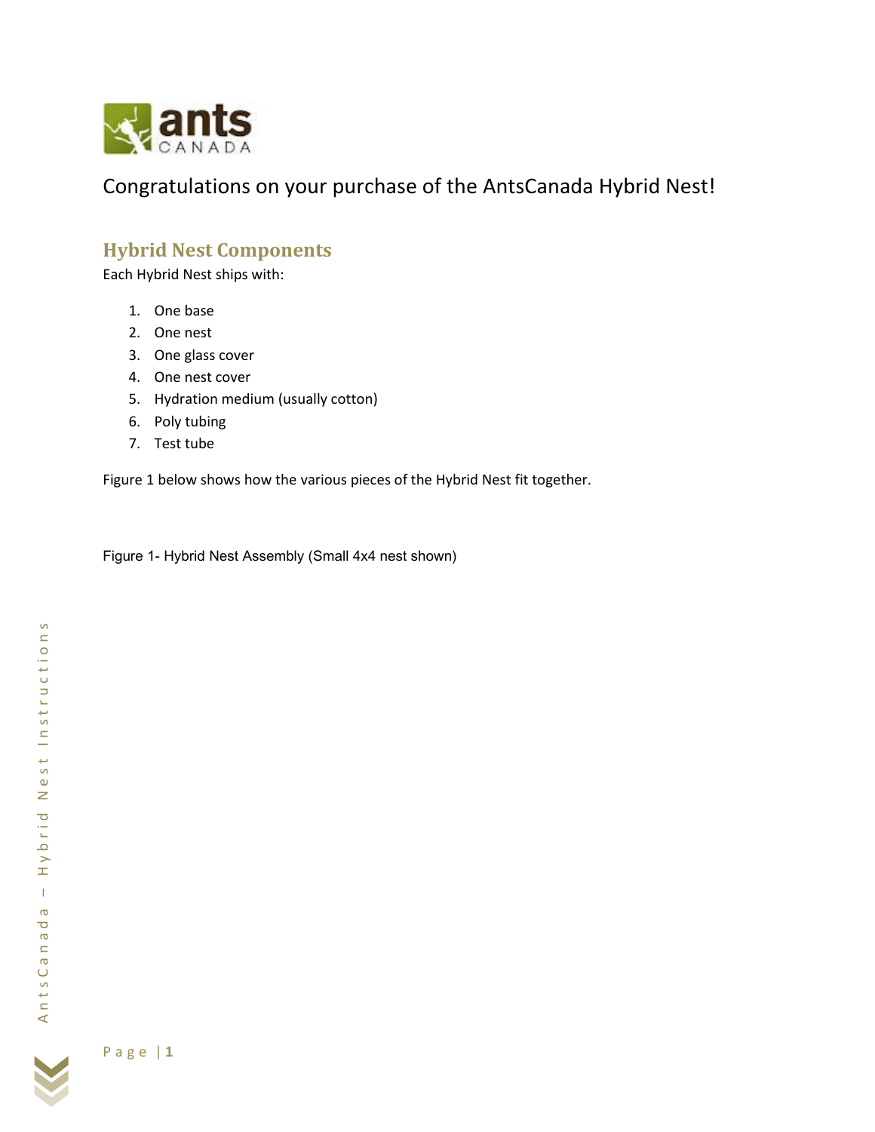

Congratulations on your purchase of the AntsCanada Hybrid Nest!

# **Hybrid Nest Components**

Each Hybrid Nest ships with:

- 1. One base
- 2. One nest
- 3. One glass cover
- 4. One nest cover
- 5. Hydration medium (usually cotton)
- 6. Poly tubing
- 7. Test tube

Figure 1 below shows how the various pieces of the Hybrid Nest fit together.

Figure 1- Hybrid Nest Assembly (Small 4x4 nest shown)

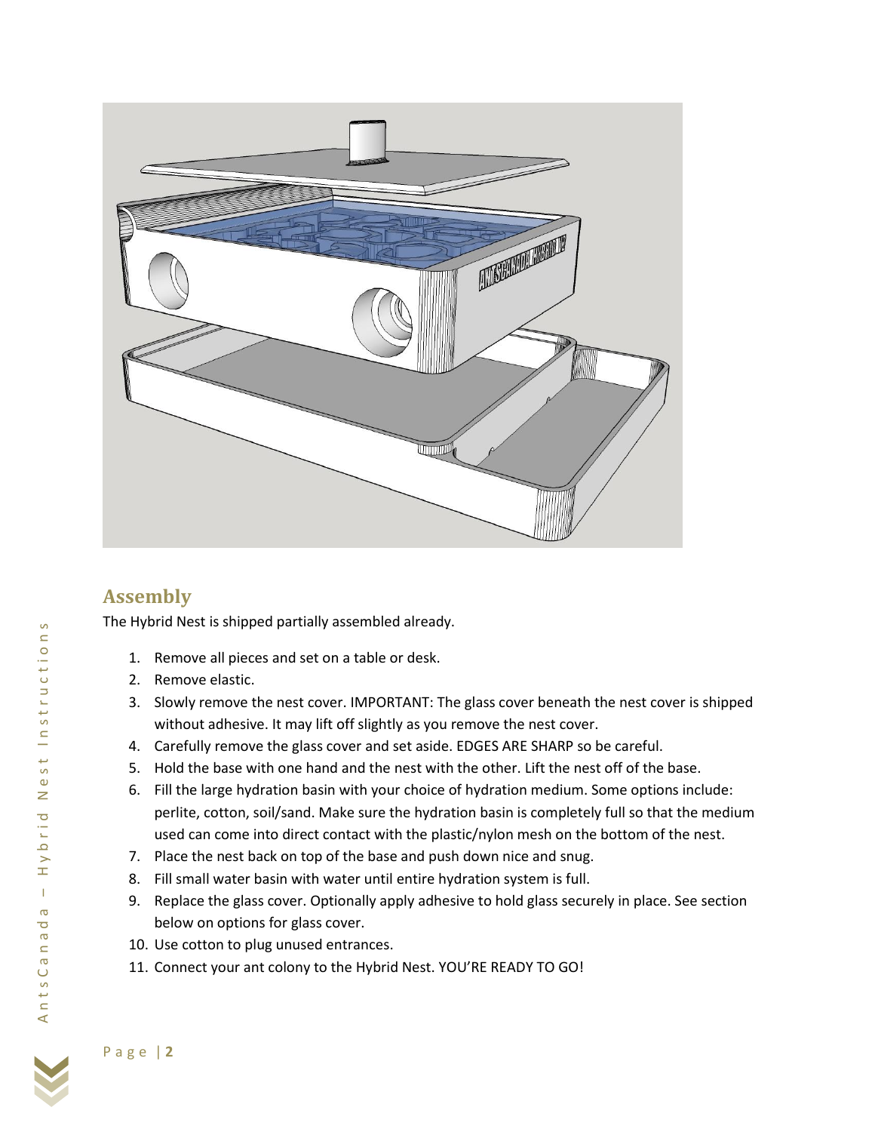

# **Assembly**

The Hybrid Nest is shipped partially assembled already.

- 1. Remove all pieces and set on a table or desk.
- 2. Remove elastic.
- 3. Slowly remove the nest cover. IMPORTANT: The glass cover beneath the nest cover is shipped without adhesive. It may lift off slightly as you remove the nest cover.
- 4. Carefully remove the glass cover and set aside. EDGES ARE SHARP so be careful.
- 5. Hold the base with one hand and the nest with the other. Lift the nest off of the base.
- 6. Fill the large hydration basin with your choice of hydration medium. Some options include: perlite, cotton, soil/sand. Make sure the hydration basin is completely full so that the medium used can come into direct contact with the plastic/nylon mesh on the bottom of the nest.
- 7. Place the nest back on top of the base and push down nice and snug.
- 8. Fill small water basin with water until entire hydration system is full.
- 9. Replace the glass cover. Optionally apply adhesive to hold glass securely in place. See section below on options for glass cover.
- 10. Use cotton to plug unused entrances.
- 11. Connect your ant colony to the Hybrid Nest. YOU'RE READY TO GO!

 $\mathcal{L}$ 

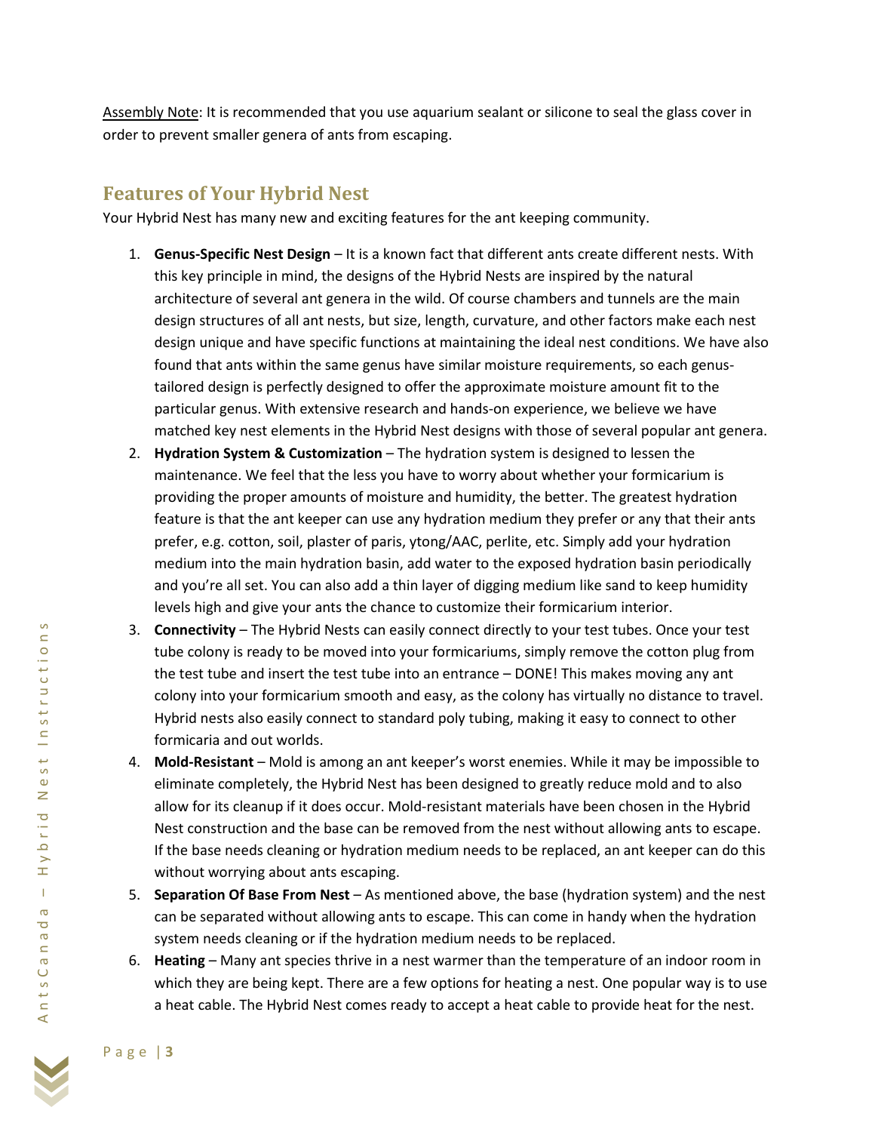Assembly Note: It is recommended that you use aquarium sealant or silicone to seal the glass cover in order to prevent smaller genera of ants from escaping.

## **Features of Your Hybrid Nest**

Your Hybrid Nest has many new and exciting features for the ant keeping community.

- 1. **Genus-Specific Nest Design** It is a known fact that different ants create different nests. With this key principle in mind, the designs of the Hybrid Nests are inspired by the natural architecture of several ant genera in the wild. Of course chambers and tunnels are the main design structures of all ant nests, but size, length, curvature, and other factors make each nest design unique and have specific functions at maintaining the ideal nest conditions. We have also found that ants within the same genus have similar moisture requirements, so each genustailored design is perfectly designed to offer the approximate moisture amount fit to the particular genus. With extensive research and hands-on experience, we believe we have matched key nest elements in the Hybrid Nest designs with those of several popular ant genera.
- 2. **Hydration System & Customization** The hydration system is designed to lessen the maintenance. We feel that the less you have to worry about whether your formicarium is providing the proper amounts of moisture and humidity, the better. The greatest hydration feature is that the ant keeper can use any hydration medium they prefer or any that their ants prefer, e.g. cotton, soil, plaster of paris, ytong/AAC, perlite, etc. Simply add your hydration medium into the main hydration basin, add water to the exposed hydration basin periodically and you're all set. You can also add a thin layer of digging medium like sand to keep humidity levels high and give your ants the chance to customize their formicarium interior.
- 3. **Connectivity** The Hybrid Nests can easily connect directly to your test tubes. Once your test tube colony is ready to be moved into your formicariums, simply remove the cotton plug from the test tube and insert the test tube into an entrance – DONE! This makes moving any ant colony into your formicarium smooth and easy, as the colony has virtually no distance to travel. Hybrid nests also easily connect to standard poly tubing, making it easy to connect to other formicaria and out worlds.
- 4. **Mold-Resistant** Mold is among an ant keeper's worst enemies. While it may be impossible to eliminate completely, the Hybrid Nest has been designed to greatly reduce mold and to also allow for its cleanup if it does occur. Mold-resistant materials have been chosen in the Hybrid Nest construction and the base can be removed from the nest without allowing ants to escape. If the base needs cleaning or hydration medium needs to be replaced, an ant keeper can do this without worrying about ants escaping.
- 5. **Separation Of Base From Nest** As mentioned above, the base (hydration system) and the nest can be separated without allowing ants to escape. This can come in handy when the hydration system needs cleaning or if the hydration medium needs to be replaced.
- 6. **Heating** Many ant species thrive in a nest warmer than the temperature of an indoor room in which they are being kept. There are a few options for heating a nest. One popular way is to use a heat cable. The Hybrid Nest comes ready to accept a heat cable to provide heat for the nest.

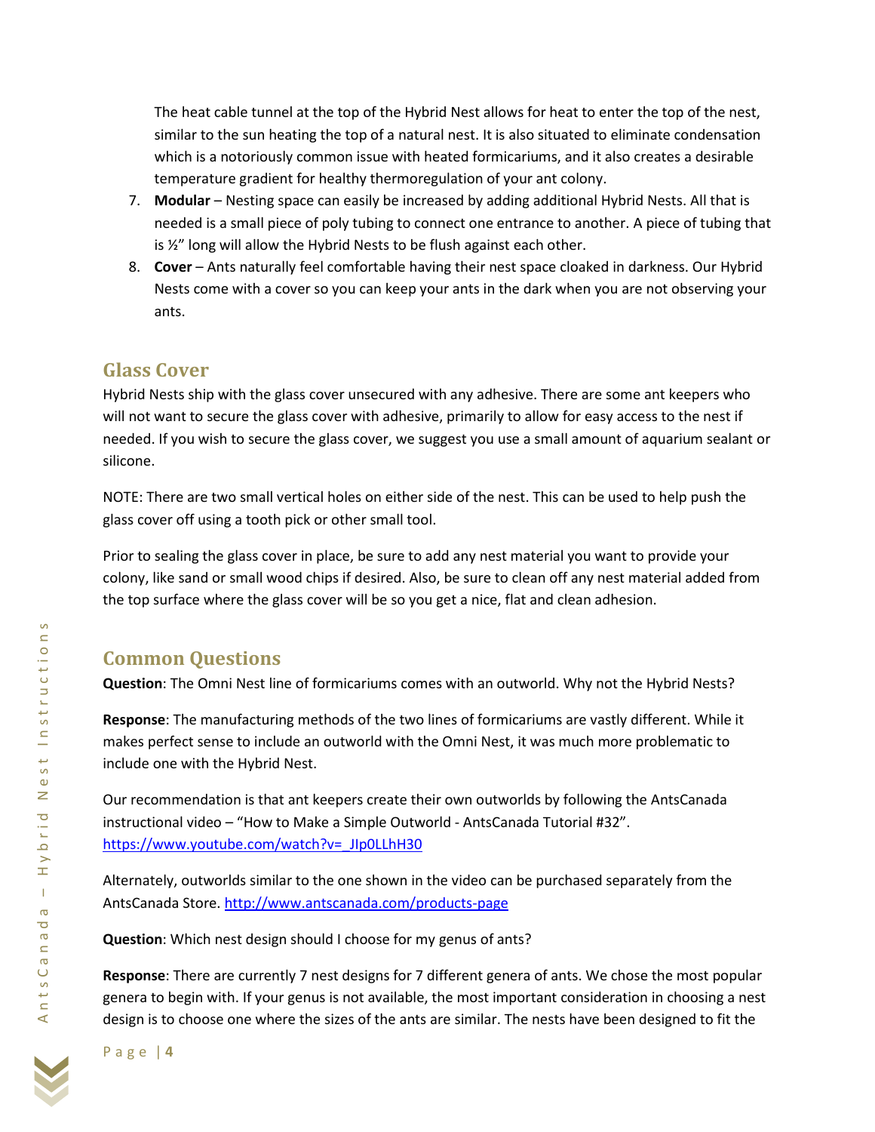The heat cable tunnel at the top of the Hybrid Nest allows for heat to enter the top of the nest, similar to the sun heating the top of a natural nest. It is also situated to eliminate condensation which is a notoriously common issue with heated formicariums, and it also creates a desirable temperature gradient for healthy thermoregulation of your ant colony.

- 7. **Modular** Nesting space can easily be increased by adding additional Hybrid Nests. All that is needed is a small piece of poly tubing to connect one entrance to another. A piece of tubing that is  $\frac{1}{2}$ " long will allow the Hybrid Nests to be flush against each other.
- 8. **Cover**  Ants naturally feel comfortable having their nest space cloaked in darkness. Our Hybrid Nests come with a cover so you can keep your ants in the dark when you are not observing your ants.

### **Glass Cover**

Hybrid Nests ship with the glass cover unsecured with any adhesive. There are some ant keepers who will not want to secure the glass cover with adhesive, primarily to allow for easy access to the nest if needed. If you wish to secure the glass cover, we suggest you use a small amount of aquarium sealant or silicone.

NOTE: There are two small vertical holes on either side of the nest. This can be used to help push the glass cover off using a tooth pick or other small tool.

Prior to sealing the glass cover in place, be sure to add any nest material you want to provide your colony, like sand or small wood chips if desired. Also, be sure to clean off any nest material added from the top surface where the glass cover will be so you get a nice, flat and clean adhesion.

## **Common Questions**

**Question**: The Omni Nest line of formicariums comes with an outworld. Why not the Hybrid Nests?

**Response**: The manufacturing methods of the two lines of formicariums are vastly different. While it makes perfect sense to include an outworld with the Omni Nest, it was much more problematic to include one with the Hybrid Nest.

Our recommendation is that ant keepers create their own outworlds by following the AntsCanada instructional video – "How to Make a Simple Outworld - AntsCanada Tutorial #32". [https://www.youtube.com/watch?v=\\_JIp0LLhH30](https://www.youtube.com/watch?v=_JIp0LLhH30)

Alternately, outworlds similar to the one shown in the video can be purchased separately from the AntsCanada Store. <http://www.antscanada.com/products-page>

**Question**: Which nest design should I choose for my genus of ants?

**Response**: There are currently 7 nest designs for 7 different genera of ants. We chose the most popular genera to begin with. If your genus is not available, the most important consideration in choosing a nest design is to choose one where the sizes of the ants are similar. The nests have been designed to fit the

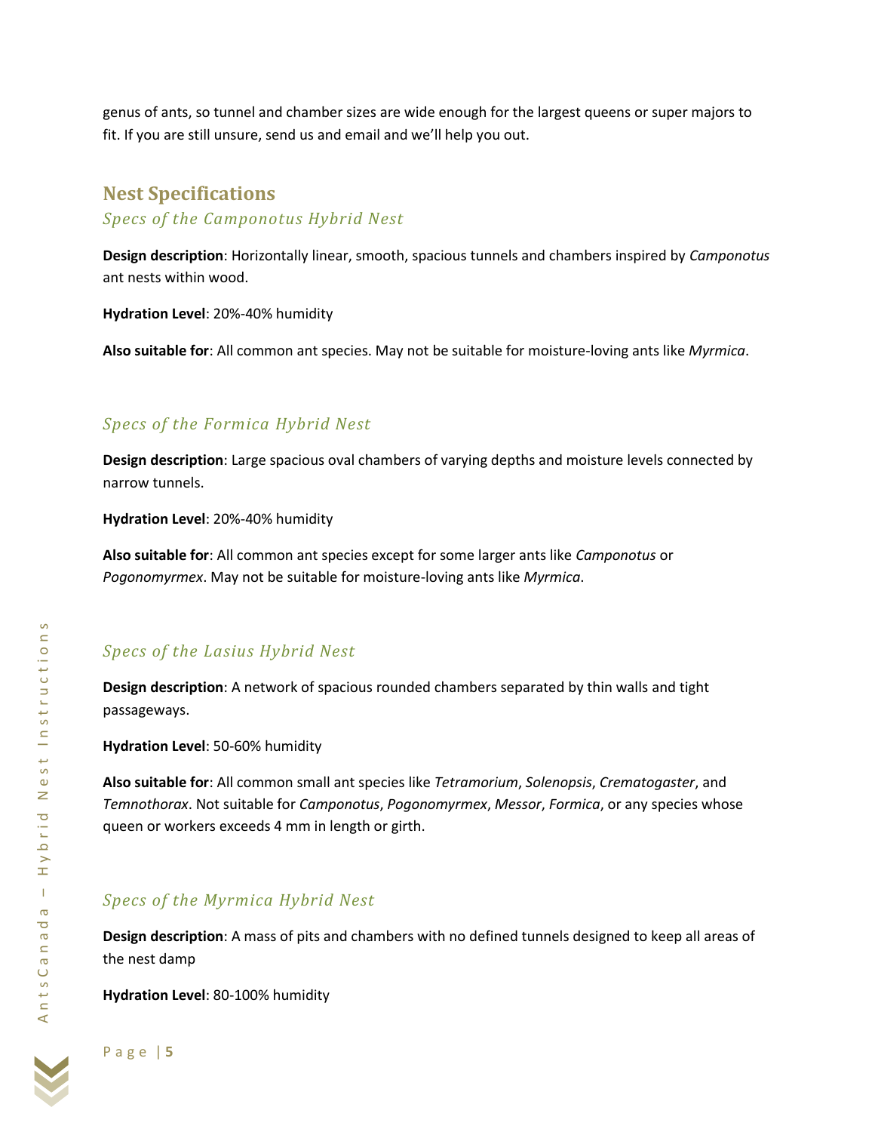genus of ants, so tunnel and chamber sizes are wide enough for the largest queens or super majors to fit. If you are still unsure, send us and email and we'll help you out.

### **Nest Specifications**

*Specs of the Camponotus Hybrid Nest*

**Design description**: Horizontally linear, smooth, spacious tunnels and chambers inspired by *Camponotus* ant nests within wood.

**Hydration Level**: 20%-40% humidity

**Also suitable for**: All common ant species. May not be suitable for moisture-loving ants like *Myrmica*.

#### *Specs of the Formica Hybrid Nest*

**Design description**: Large spacious oval chambers of varying depths and moisture levels connected by narrow tunnels.

**Hydration Level**: 20%-40% humidity

**Also suitable for**: All common ant species except for some larger ants like *Camponotus* or *Pogonomyrmex*. May not be suitable for moisture-loving ants like *Myrmica*.

### *Specs of the Lasius Hybrid Nest*

**Design description**: A network of spacious rounded chambers separated by thin walls and tight passageways.

**Hydration Level**: 50-60% humidity

**Also suitable for**: All common small ant species like *Tetramorium*, *Solenopsis*, *Crematogaster*, and *Temnothorax*. Not suitable for *Camponotus*, *Pogonomyrmex*, *Messor*, *Formica*, or any species whose queen or workers exceeds 4 mm in length or girth.

### *Specs of the Myrmica Hybrid Nest*

**Design description**: A mass of pits and chambers with no defined tunnels designed to keep all areas of the nest damp

**Hydration Level**: 80-100% humidity

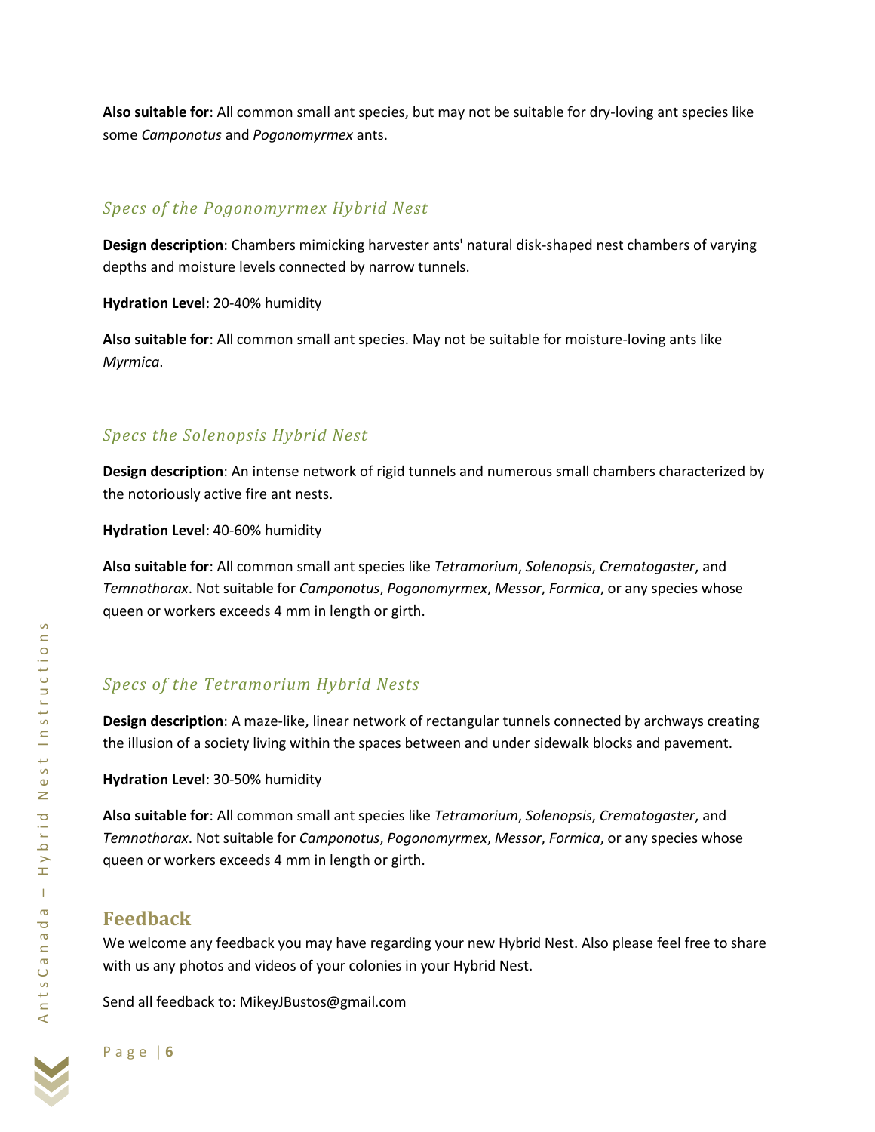**Also suitable for**: All common small ant species, but may not be suitable for dry-loving ant species like some *Camponotus* and *Pogonomyrmex* ants.

#### *Specs of the Pogonomyrmex Hybrid Nest*

**Design description**: Chambers mimicking harvester ants' natural disk-shaped nest chambers of varying depths and moisture levels connected by narrow tunnels.

**Hydration Level**: 20-40% humidity

**Also suitable for**: All common small ant species. May not be suitable for moisture-loving ants like *Myrmica*.

#### *Specs the Solenopsis Hybrid Nest*

**Design description**: An intense network of rigid tunnels and numerous small chambers characterized by the notoriously active fire ant nests.

**Hydration Level**: 40-60% humidity

**Also suitable for**: All common small ant species like *Tetramorium*, *Solenopsis*, *Crematogaster*, and *Temnothorax*. Not suitable for *Camponotus*, *Pogonomyrmex*, *Messor*, *Formica*, or any species whose queen or workers exceeds 4 mm in length or girth.

### *Specs of the Tetramorium Hybrid Nests*

**Design description**: A maze-like, linear network of rectangular tunnels connected by archways creating the illusion of a society living within the spaces between and under sidewalk blocks and pavement.

**Hydration Level**: 30-50% humidity

**Also suitable for**: All common small ant species like *Tetramorium*, *Solenopsis*, *Crematogaster*, and *Temnothorax*. Not suitable for *Camponotus*, *Pogonomyrmex*, *Messor*, *Formica*, or any species whose queen or workers exceeds 4 mm in length or girth.

## **Feedback**

We welcome any feedback you may have regarding your new Hybrid Nest. Also please feel free to share with us any photos and videos of your colonies in your Hybrid Nest.

Send all feedback to: MikeyJBustos@gmail.com



A n t s C a n a d a

AntsCana

– H y b r i d N e s t I n s t r u c t i o n s

ybrid

 $\pm$  $\mathbf{I}$  $\boldsymbol{\varpi}$  $\overline{\circ}$ 

Nest Instruction